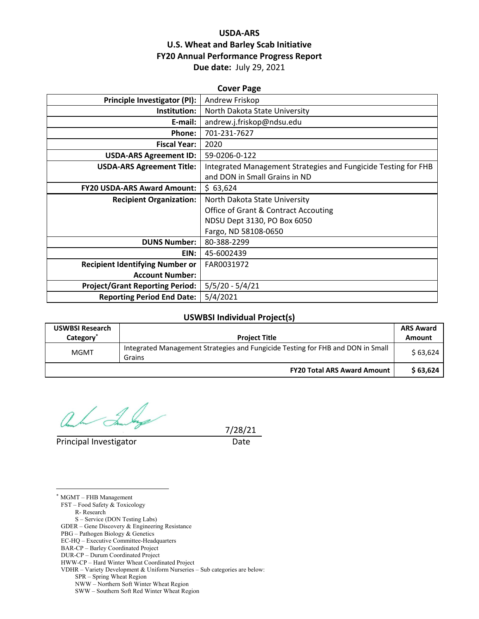# **USDA‐ARS U.S. Wheat and Barley Scab Initiative FY20 Annual Performance Progress Report Due date:** July 29, 2021

| <b>Cover Page</b>                      |                                                                |  |  |  |
|----------------------------------------|----------------------------------------------------------------|--|--|--|
| Principle Investigator (PI):           | Andrew Friskop                                                 |  |  |  |
| Institution:                           | North Dakota State University                                  |  |  |  |
| E-mail:                                | andrew.j.friskop@ndsu.edu                                      |  |  |  |
| Phone:                                 | 701-231-7627                                                   |  |  |  |
| <b>Fiscal Year:</b>                    | 2020                                                           |  |  |  |
| <b>USDA-ARS Agreement ID:</b>          | 59-0206-0-122                                                  |  |  |  |
| <b>USDA-ARS Agreement Title:</b>       | Integrated Management Strategies and Fungicide Testing for FHB |  |  |  |
|                                        | and DON in Small Grains in ND                                  |  |  |  |
| <b>FY20 USDA-ARS Award Amount:</b>     | \$63,624                                                       |  |  |  |
| <b>Recipient Organization:</b>         | North Dakota State University                                  |  |  |  |
|                                        | <b>Office of Grant &amp; Contract Accouting</b>                |  |  |  |
|                                        | NDSU Dept 3130, PO Box 6050                                    |  |  |  |
|                                        | Fargo, ND 58108-0650                                           |  |  |  |
| <b>DUNS Number:</b>                    | 80-388-2299                                                    |  |  |  |
| EIN:                                   | 45-6002439                                                     |  |  |  |
| <b>Recipient Identifying Number or</b> | FAR0031972                                                     |  |  |  |
| <b>Account Number:</b>                 |                                                                |  |  |  |
| <b>Project/Grant Reporting Period:</b> | $5/5/20 - 5/4/21$                                              |  |  |  |
| <b>Reporting Period End Date:</b>      | 5/4/2021                                                       |  |  |  |

## **USWBSI Individual Project(s)**

| <b>USWBSI Research</b><br>Category <sup>*</sup> | <b>Project Title</b>                                                                      | <b>ARS Award</b><br>Amount |
|-------------------------------------------------|-------------------------------------------------------------------------------------------|----------------------------|
| <b>MGMT</b>                                     | Integrated Management Strategies and Fungicide Testing for FHB and DON in Small<br>Grains | \$63.624                   |
|                                                 | <b>FY20 Total ARS Award Amount</b>                                                        | \$63.624                   |

Principal Investigator Date

7/28/21

 $\overline{a}$ \* MGMT – FHB Management FST – Food Safety & Toxicology R- Research S – Service (DON Testing Labs) GDER – Gene Discovery & Engineering Resistance PBG – Pathogen Biology & Genetics EC-HQ – Executive Committee-Headquarters BAR-CP – Barley Coordinated Project DUR-CP – Durum Coordinated Project HWW-CP – Hard Winter Wheat Coordinated Project VDHR – Variety Development & Uniform Nurseries – Sub categories are below: SPR – Spring Wheat Region NWW – Northern Soft Winter Wheat Region

SWW – Southern Soft Red Winter Wheat Region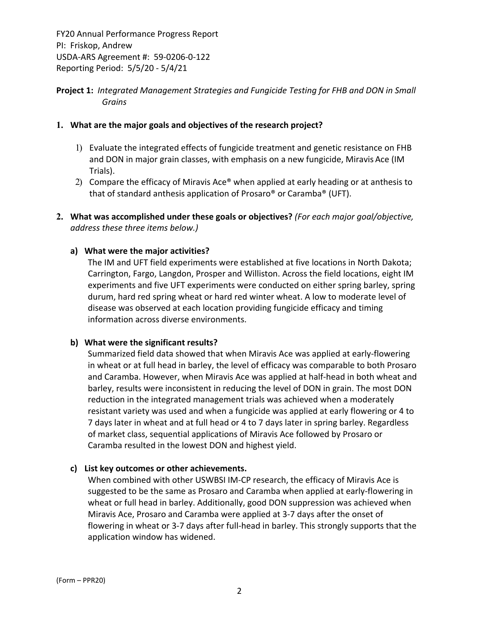# **Project 1:** *Integrated Management Strategies and Fungicide Testing for FHB and DON in Small Grains*

## **1. What are the major goals and objectives of the research project?**

- 1) Evaluate the integrated effects of fungicide treatment and genetic resistance on FHB and DON in major grain classes, with emphasis on a new fungicide, Miravis Ace (IM Trials).
- 2) Compare the efficacy of Miravis Ace<sup>®</sup> when applied at early heading or at anthesis to that of standard anthesis application of Prosaro® or Caramba® (UFT).
- **2. What was accomplished under these goals or objectives?** *(For each major goal/objective, address these three items below.)*

## **a) What were the major activities?**

The IM and UFT field experiments were established at five locations in North Dakota; Carrington, Fargo, Langdon, Prosper and Williston. Across the field locations, eight IM experiments and five UFT experiments were conducted on either spring barley, spring durum, hard red spring wheat or hard red winter wheat. A low to moderate level of disease was observed at each location providing fungicide efficacy and timing information across diverse environments.

### **b) What were the significant results?**

Summarized field data showed that when Miravis Ace was applied at early‐flowering in wheat or at full head in barley, the level of efficacy was comparable to both Prosaro and Caramba. However, when Miravis Ace was applied at half‐head in both wheat and barley, results were inconsistent in reducing the level of DON in grain. The most DON reduction in the integrated management trials was achieved when a moderately resistant variety was used and when a fungicide was applied at early flowering or 4 to 7 days later in wheat and at full head or 4 to 7 days later in spring barley. Regardless of market class, sequential applications of Miravis Ace followed by Prosaro or Caramba resulted in the lowest DON and highest yield.

### **c) List key outcomes or other achievements.**

When combined with other USWBSI IM‐CP research, the efficacy of Miravis Ace is suggested to be the same as Prosaro and Caramba when applied at early‐flowering in wheat or full head in barley. Additionally, good DON suppression was achieved when Miravis Ace, Prosaro and Caramba were applied at 3‐7 days after the onset of flowering in wheat or 3‐7 days after full‐head in barley. This strongly supports that the application window has widened.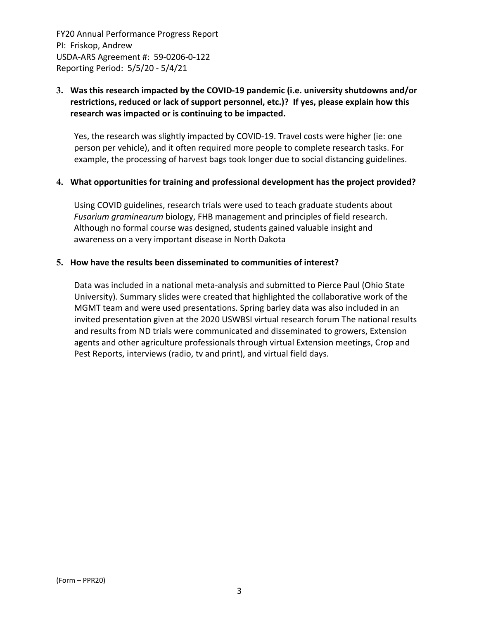# **3. Was this research impacted by the COVID‐19 pandemic (i.e. university shutdowns and/or restrictions, reduced or lack of support personnel, etc.)? If yes, please explain how this research was impacted or is continuing to be impacted.**

Yes, the research was slightly impacted by COVID‐19. Travel costs were higher (ie: one person per vehicle), and it often required more people to complete research tasks. For example, the processing of harvest bags took longer due to social distancing guidelines.

### **4. What opportunities for training and professional development has the project provided?**

Using COVID guidelines, research trials were used to teach graduate students about *Fusarium graminearum* biology, FHB management and principles of field research. Although no formal course was designed, students gained valuable insight and awareness on a very important disease in North Dakota

## **5. How have the results been disseminated to communities of interest?**

Data was included in a national meta‐analysis and submitted to Pierce Paul (Ohio State University). Summary slides were created that highlighted the collaborative work of the MGMT team and were used presentations. Spring barley data was also included in an invited presentation given at the 2020 USWBSI virtual research forum The national results and results from ND trials were communicated and disseminated to growers, Extension agents and other agriculture professionals through virtual Extension meetings, Crop and Pest Reports, interviews (radio, tv and print), and virtual field days.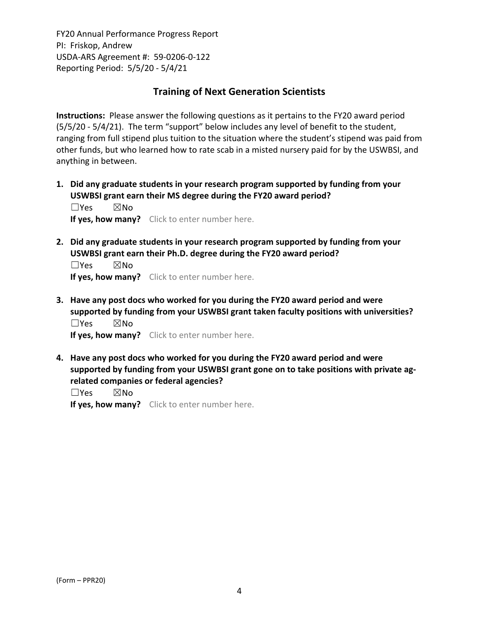# **Training of Next Generation Scientists**

**Instructions:** Please answer the following questions as it pertains to the FY20 award period (5/5/20 ‐ 5/4/21). The term "support" below includes any level of benefit to the student, ranging from full stipend plus tuition to the situation where the student's stipend was paid from other funds, but who learned how to rate scab in a misted nursery paid for by the USWBSI, and anything in between.

**1. Did any graduate students in your research program supported by funding from your USWBSI grant earn their MS degree during the FY20 award period?** ☐Yes ☒No

**If yes, how many?** Click to enter number here.

**2. Did any graduate students in your research program supported by funding from your USWBSI grant earn their Ph.D. degree during the FY20 award period?**

☐Yes ☒No **If yes, how many?** Click to enter number here.

**3. Have any post docs who worked for you during the FY20 award period and were supported by funding from your USWBSI grant taken faculty positions with universities?** ☐Yes ☒No

**If yes, how many?** Click to enter number here.

**4. Have any post docs who worked for you during the FY20 award period and were supported by funding from your USWBSI grant gone on to take positions with private ag‐ related companies or federal agencies?**

☐Yes ☒No

**If yes, how many?** Click to enter number here.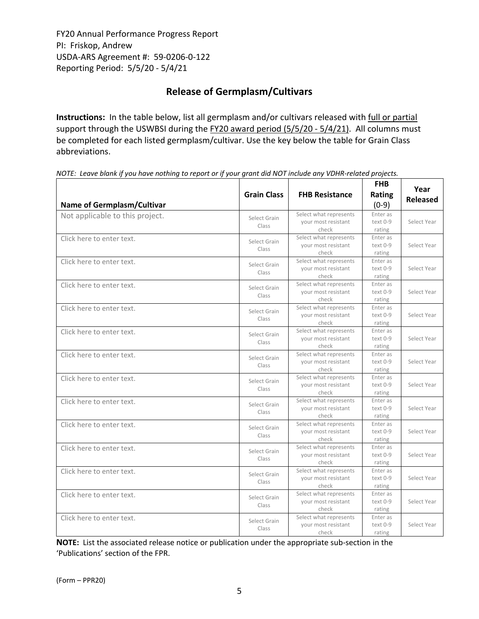# **Release of Germplasm/Cultivars**

**Instructions:** In the table below, list all germplasm and/or cultivars released with full or partial support through the USWBSI during the FY20 award period (5/5/20 - 5/4/21). All columns must be completed for each listed germplasm/cultivar. Use the key below the table for Grain Class abbreviations. 

NOTE: Leave blank if you have nothing to report or if your grant did NOT include any VDHR-related projects.

| <b>Name of Germplasm/Cultivar</b> | <b>Grain Class</b>    | <b>FHB Resistance</b>                                  | <b>FHB</b><br>Rating<br>$(0-9)$ | Year<br><b>Released</b> |
|-----------------------------------|-----------------------|--------------------------------------------------------|---------------------------------|-------------------------|
| Not applicable to this project.   | Select Grain<br>Class | Select what represents<br>your most resistant<br>check | Enter as<br>text 0-9<br>rating  | Select Year             |
| Click here to enter text.         | Select Grain<br>Class | Select what represents<br>your most resistant<br>check | Enter as<br>text 0-9<br>rating  | Select Year             |
| Click here to enter text.         | Select Grain<br>Class | Select what represents<br>your most resistant<br>check | Enter as<br>text 0-9<br>rating  | Select Year             |
| Click here to enter text.         | Select Grain<br>Class | Select what represents<br>your most resistant<br>check | Enter as<br>text 0-9<br>rating  | Select Year             |
| Click here to enter text.         | Select Grain<br>Class | Select what represents<br>your most resistant<br>check | Enter as<br>text 0-9<br>rating  | Select Year             |
| Click here to enter text.         | Select Grain<br>Class | Select what represents<br>your most resistant<br>check | Enter as<br>text 0-9<br>rating  | Select Year             |
| Click here to enter text.         | Select Grain<br>Class | Select what represents<br>your most resistant<br>check | Enter as<br>text 0-9<br>rating  | Select Year             |
| Click here to enter text.         | Select Grain<br>Class | Select what represents<br>your most resistant<br>check | Enter as<br>text 0-9<br>rating  | Select Year             |
| Click here to enter text.         | Select Grain<br>Class | Select what represents<br>your most resistant<br>check | Enter as<br>text 0-9<br>rating  | Select Year             |
| Click here to enter text.         | Select Grain<br>Class | Select what represents<br>your most resistant<br>check | Enter as<br>text 0-9<br>rating  | Select Year             |
| Click here to enter text.         | Select Grain<br>Class | Select what represents<br>your most resistant<br>check | Enter as<br>text 0-9<br>rating  | Select Year             |
| Click here to enter text.         | Select Grain<br>Class | Select what represents<br>your most resistant<br>check | Enter as<br>text 0-9<br>rating  | Select Year             |
| Click here to enter text.         | Select Grain<br>Class | Select what represents<br>your most resistant<br>check | Enter as<br>text 0-9<br>rating  | Select Year             |
| Click here to enter text.         | Select Grain<br>Class | Select what represents<br>your most resistant<br>check | Enter as<br>text 0-9<br>rating  | Select Year             |

**NOTE:** List the associated release notice or publication under the appropriate sub-section in the 'Publications' section of the FPR.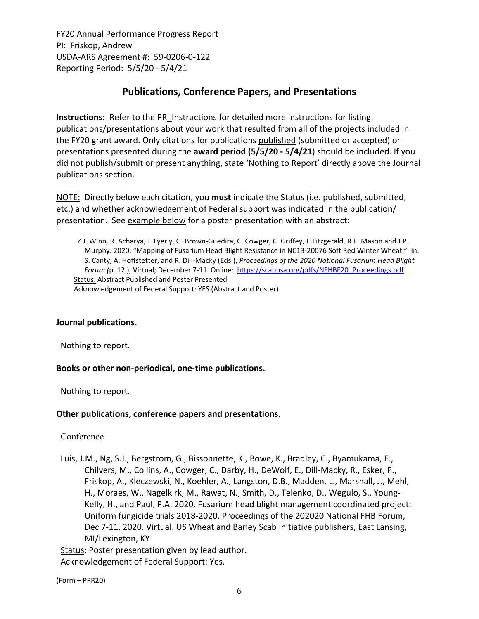# **Publications, Conference Papers, and Presentations**

**Instructions:** Refer to the PR\_Instructions for detailed more instructions for listing publications/presentations about your work that resulted from all of the projects included in the FY20 grant award. Only citations for publications published (submitted or accepted) or presentations presented during the **award period (5/5/20 ‐ 5/4/21**) should be included. If you did not publish/submit or present anything, state 'Nothing to Report' directly above the Journal publications section.

NOTE: Directly below each citation, you **must** indicate the Status (i.e. published, submitted, etc.) and whether acknowledgement of Federal support was indicated in the publication/ presentation. See example below for a poster presentation with an abstract:

Z.J. Winn, R. Acharya, J. Lyerly, G. Brown‐Guedira, C. Cowger, C. Griffey, J. Fitzgerald, R.E. Mason and J.P. Murphy. 2020. "Mapping of Fusarium Head Blight Resistance in NC13‐20076 Soft Red Winter Wheat." In: S. Canty, A. Hoffstetter, and R. Dill‐Macky (Eds.), *Proceedings of the 2020 National Fusarium Head Blight Forum (*p. 12.), Virtual; December 7‐11. Online: https://scabusa.org/pdfs/NFHBF20\_Proceedings.pdf. Status: Abstract Published and Poster Presented Acknowledgement of Federal Support: YES (Abstract and Poster)

# **Journal publications.**

Nothing to report.

# **Books or other non‐periodical, one‐time publications.**

Nothing to report.

### **Other publications, conference papers and presentations**.

Conference

Luis, J.M., Ng, S.J., Bergstrom, G., Bissonnette, K., Bowe, K., Bradley, C., Byamukama, E., Chilvers, M., Collins, A., Cowger, C., Darby, H., DeWolf, E., Dill‐Macky, R., Esker, P., Friskop, A., Kleczewski, N., Koehler, A., Langston, D.B., Madden, L., Marshall, J., Mehl, H., Moraes, W., Nagelkirk, M., Rawat, N., Smith, D., Telenko, D., Wegulo, S., Young‐ Kelly, H., and Paul, P.A. 2020. Fusarium head blight management coordinated project: Uniform fungicide trials 2018‐2020. Proceedings of the 202020 National FHB Forum, Dec 7-11, 2020. Virtual. US Wheat and Barley Scab Initiative publishers, East Lansing, MI/Lexington, KY

Status: Poster presentation given by lead author. Acknowledgement of Federal Support: Yes.

(Form – PPR20)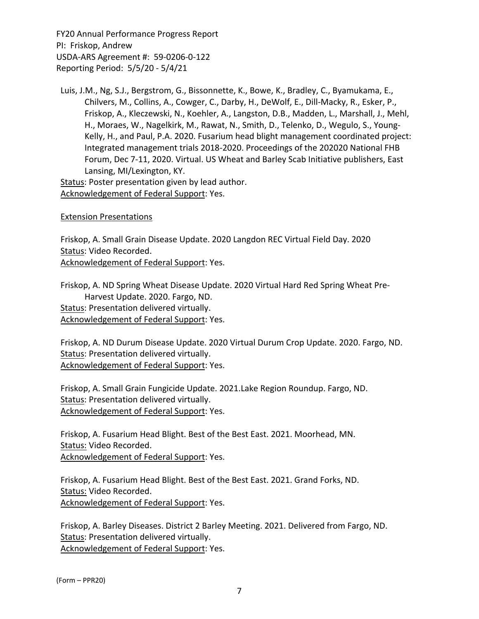Luis, J.M., Ng, S.J., Bergstrom, G., Bissonnette, K., Bowe, K., Bradley, C., Byamukama, E., Chilvers, M., Collins, A., Cowger, C., Darby, H., DeWolf, E., Dill‐Macky, R., Esker, P., Friskop, A., Kleczewski, N., Koehler, A., Langston, D.B., Madden, L., Marshall, J., Mehl, H., Moraes, W., Nagelkirk, M., Rawat, N., Smith, D., Telenko, D., Wegulo, S., Young‐ Kelly, H., and Paul, P.A. 2020. Fusarium head blight management coordinated project: Integrated management trials 2018‐2020. Proceedings of the 202020 National FHB Forum, Dec 7‐11, 2020. Virtual. US Wheat and Barley Scab Initiative publishers, East Lansing, MI/Lexington, KY.

Status: Poster presentation given by lead author. Acknowledgement of Federal Support: Yes.

### Extension Presentations

Friskop, A. Small Grain Disease Update. 2020 Langdon REC Virtual Field Day. 2020 Status: Video Recorded. Acknowledgement of Federal Support: Yes.

Friskop, A. ND Spring Wheat Disease Update. 2020 Virtual Hard Red Spring Wheat Pre‐ Harvest Update. 2020. Fargo, ND. Status: Presentation delivered virtually.

Acknowledgement of Federal Support: Yes.

Friskop, A. ND Durum Disease Update. 2020 Virtual Durum Crop Update. 2020. Fargo, ND. Status: Presentation delivered virtually. Acknowledgement of Federal Support: Yes.

Friskop, A. Small Grain Fungicide Update. 2021.Lake Region Roundup. Fargo, ND. Status: Presentation delivered virtually. Acknowledgement of Federal Support: Yes.

Friskop, A. Fusarium Head Blight. Best of the Best East. 2021. Moorhead, MN. Status: Video Recorded.

Acknowledgement of Federal Support: Yes.

Friskop, A. Fusarium Head Blight. Best of the Best East. 2021. Grand Forks, ND. Status: Video Recorded. Acknowledgement of Federal Support: Yes.

Friskop, A. Barley Diseases. District 2 Barley Meeting. 2021. Delivered from Fargo, ND. Status: Presentation delivered virtually. Acknowledgement of Federal Support: Yes.